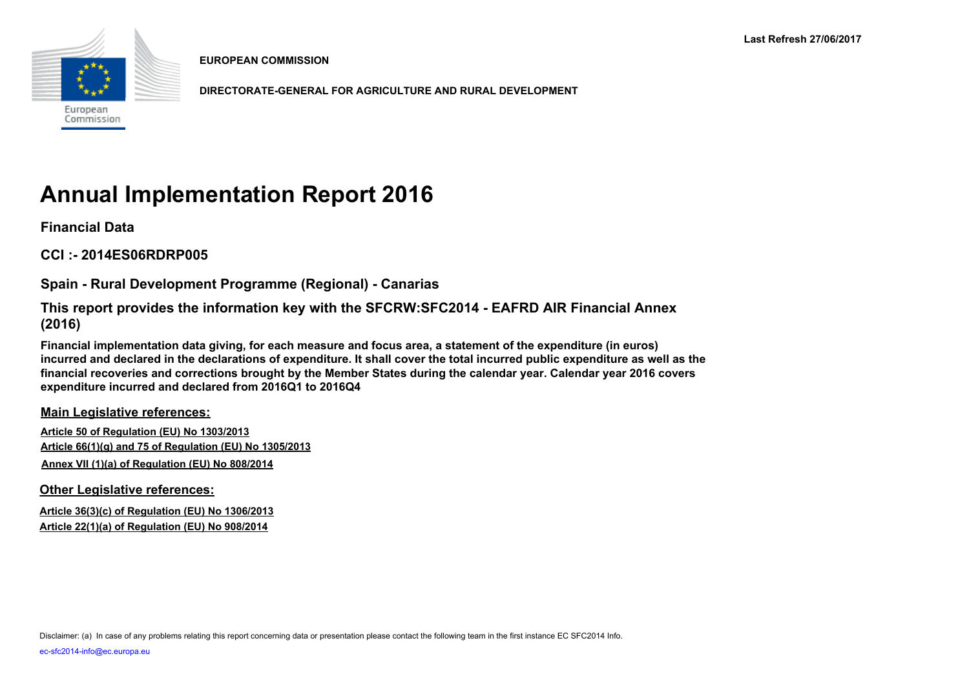

**EUROPEAN COMMISSION**

**DIRECTORATE-GENERAL FOR AGRICULTURE AND RURAL DEVELOPMENT**

# **Annual Implementation Report 2016**

**Financial Data**

**CCI :- 2014ES06RDRP005**

**Spain - Rural Development Programme (Regional) - Canarias**

**This report provides the information key with the SFCRW:SFC2014 - EAFRD AIR Financial Annex (2016)**

**Financial implementation data giving, for each measure and focus area, a statement of the expenditure (in euros) incurred and declared in the declarations of expenditure. It shall cover the total incurred public expenditure as well as the financial recoveries and corrections brought by the Member States during the calendar year. Calendar year 2016 covers expenditure incurred and declared from 2016Q1 to 2016Q4**

**Main Legislative references:**

**Article 50 of Regulation (EU) No 1303/2013 Article 66(1)(g) and 75 of Regulation (EU) No 1305/2013 Annex VII (1)(a) of Regulation (EU) No 808/2014**

**Other Legislative references:**

**Article 36(3)(c) of Regulation (EU) No 1306/2013 Article 22(1)(a) of Regulation (EU) No 908/2014**

Disclaimer: (a) In case of any problems relating this report concerning data or presentation please contact the following team in the first instance EC SFC2014 Info.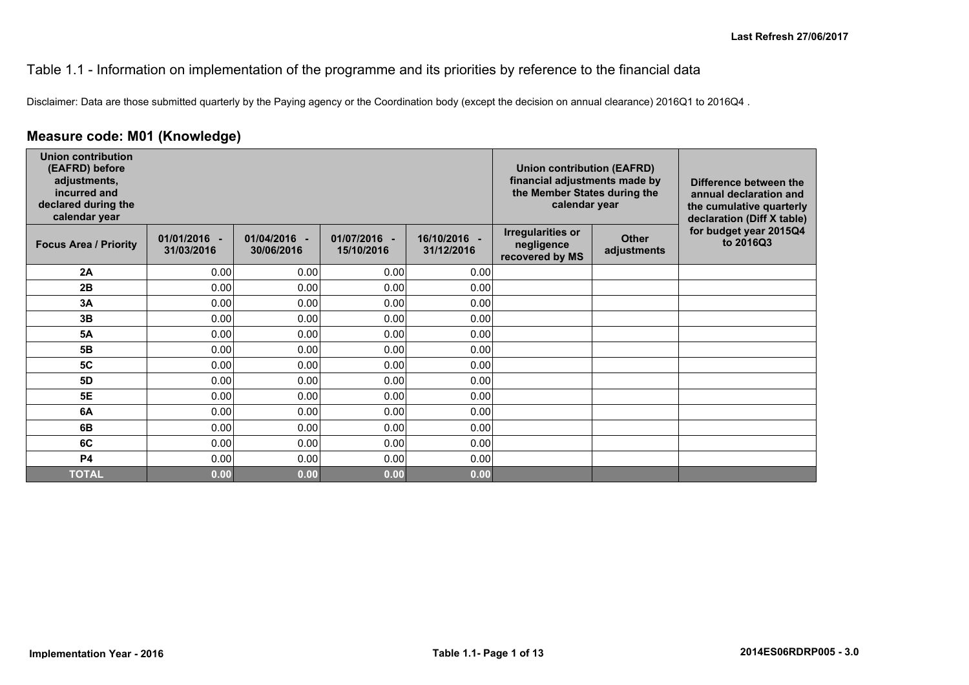#### Table 1.1 - Information on implementation of the programme and its priorities by reference to the financial data

Disclaimer: Data are those submitted quarterly by the Paying agency or the Coordination body (except the decision on annual clearance) 2016Q1 to 2016Q4 .

#### **Measure code: M01 (Knowledge)**

| <b>Union contribution</b><br>(EAFRD) before<br>adjustments,<br>incurred and<br>declared during the<br>calendar year |                            |                            |                            |                            | <b>Union contribution (EAFRD)</b><br>financial adjustments made by<br>the Member States during the<br>calendar year |                             | Difference between the<br>annual declaration and<br>the cumulative quarterly<br>declaration (Diff X table) |
|---------------------------------------------------------------------------------------------------------------------|----------------------------|----------------------------|----------------------------|----------------------------|---------------------------------------------------------------------------------------------------------------------|-----------------------------|------------------------------------------------------------------------------------------------------------|
| <b>Focus Area / Priority</b>                                                                                        | 01/01/2016 -<br>31/03/2016 | 01/04/2016 -<br>30/06/2016 | 01/07/2016 -<br>15/10/2016 | 16/10/2016 -<br>31/12/2016 | <b>Irregularities or</b><br>negligence<br>recovered by MS                                                           | <b>Other</b><br>adjustments | for budget year 2015Q4<br>to 2016Q3                                                                        |
| 2A                                                                                                                  | 0.00                       | 0.00                       | 0.00                       | 0.00                       |                                                                                                                     |                             |                                                                                                            |
| 2B                                                                                                                  | 0.00                       | 0.00                       | 0.00                       | 0.00                       |                                                                                                                     |                             |                                                                                                            |
| 3A                                                                                                                  | 0.00                       | 0.00                       | 0.00                       | 0.00                       |                                                                                                                     |                             |                                                                                                            |
| 3B                                                                                                                  | 0.00                       | 0.00                       | 0.00                       | 0.00                       |                                                                                                                     |                             |                                                                                                            |
| <b>5A</b>                                                                                                           | 0.00                       | 0.00                       | 0.00                       | 0.00                       |                                                                                                                     |                             |                                                                                                            |
| 5B                                                                                                                  | 0.00                       | 0.00                       | 0.00                       | 0.00                       |                                                                                                                     |                             |                                                                                                            |
| <b>5C</b>                                                                                                           | 0.00                       | 0.00                       | 0.00                       | 0.00                       |                                                                                                                     |                             |                                                                                                            |
| <b>5D</b>                                                                                                           | 0.00                       | 0.00                       | 0.00                       | 0.00                       |                                                                                                                     |                             |                                                                                                            |
| 5E                                                                                                                  | 0.00                       | 0.00                       | 0.00                       | 0.00                       |                                                                                                                     |                             |                                                                                                            |
| 6A                                                                                                                  | 0.00                       | 0.00                       | 0.00                       | 0.00                       |                                                                                                                     |                             |                                                                                                            |
| 6B                                                                                                                  | 0.00                       | 0.00                       | 0.00                       | 0.00                       |                                                                                                                     |                             |                                                                                                            |
| 6C                                                                                                                  | 0.00                       | 0.00                       | 0.00                       | 0.00                       |                                                                                                                     |                             |                                                                                                            |
| P4                                                                                                                  | 0.00                       | 0.00                       | 0.00                       | 0.00                       |                                                                                                                     |                             |                                                                                                            |
| <b>TOTAL</b>                                                                                                        | 0.00                       | 0.00                       | 0.00                       | 0.00                       |                                                                                                                     |                             |                                                                                                            |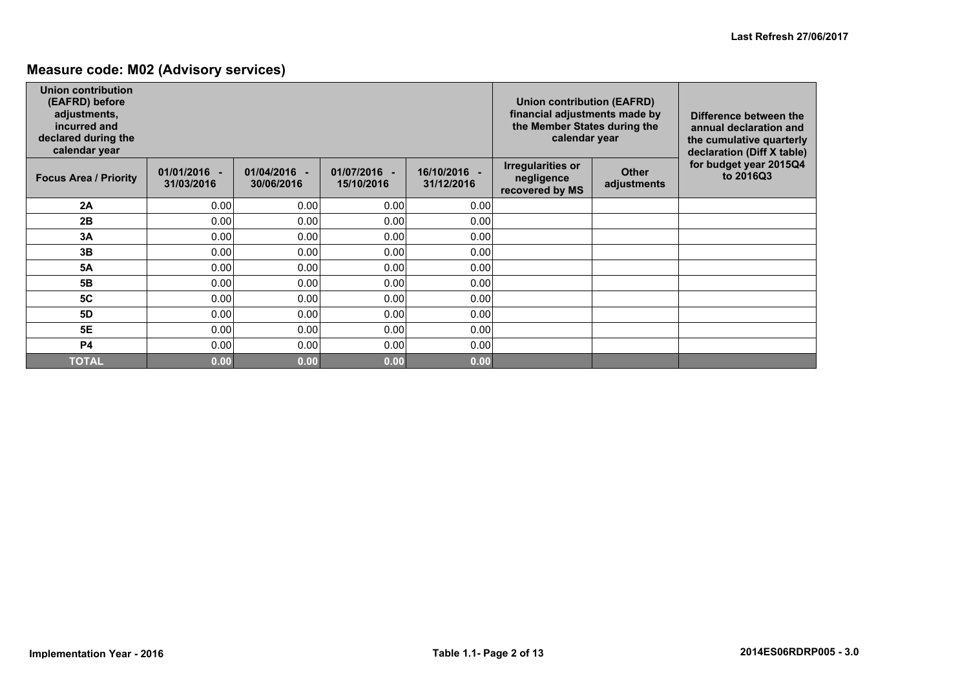### **Measure code: M02 (Advisory services)**

| <b>Union contribution</b><br>(EAFRD) before<br>adjustments,<br>incurred and<br>declared during the<br>calendar year |                              |                            |                            |                            | Union contribution (EAFRD)<br>financial adjustments made by<br>the Member States during the<br>calendar year |                             | Difference between the<br>annual declaration and<br>the cumulative quarterly<br>declaration (Diff X table) |
|---------------------------------------------------------------------------------------------------------------------|------------------------------|----------------------------|----------------------------|----------------------------|--------------------------------------------------------------------------------------------------------------|-----------------------------|------------------------------------------------------------------------------------------------------------|
| <b>Focus Area / Priority</b>                                                                                        | $01/01/2016 -$<br>31/03/2016 | 01/04/2016 -<br>30/06/2016 | 01/07/2016 -<br>15/10/2016 | 16/10/2016 -<br>31/12/2016 | <b>Irregularities or</b><br>negligence<br>recovered by MS                                                    | <b>Other</b><br>adjustments | for budget year 2015Q4<br>to 2016Q3                                                                        |
| 2A                                                                                                                  | 0.00                         | 0.00                       | 0.00                       | 0.00                       |                                                                                                              |                             |                                                                                                            |
| 2B                                                                                                                  | 0.00                         | 0.00                       | 0.00                       | 0.00                       |                                                                                                              |                             |                                                                                                            |
| 3A                                                                                                                  | 0.00                         | 0.00                       | 0.00                       | 0.00                       |                                                                                                              |                             |                                                                                                            |
| 3B                                                                                                                  | 0.00                         | 0.00                       | 0.00                       | 0.00                       |                                                                                                              |                             |                                                                                                            |
| <b>5A</b>                                                                                                           | 0.00                         | 0.00                       | 0.00                       | 0.00                       |                                                                                                              |                             |                                                                                                            |
| 5 <b>B</b>                                                                                                          | 0.00                         | 0.00                       | 0.00                       | 0.00                       |                                                                                                              |                             |                                                                                                            |
| <b>5C</b>                                                                                                           | 0.00                         | 0.00                       | 0.00                       | 0.00                       |                                                                                                              |                             |                                                                                                            |
| 5D                                                                                                                  | 0.00                         | 0.00                       | 0.00                       | 0.00                       |                                                                                                              |                             |                                                                                                            |
| <b>5E</b>                                                                                                           | 0.00                         | 0.00                       | 0.00                       | 0.00                       |                                                                                                              |                             |                                                                                                            |
| <b>P4</b>                                                                                                           | 0.00                         | 0.00                       | 0.00                       | 0.00                       |                                                                                                              |                             |                                                                                                            |
| <b>TOTAL</b>                                                                                                        | 0.00                         | 0.00                       | 0.00                       | 0.00                       |                                                                                                              |                             |                                                                                                            |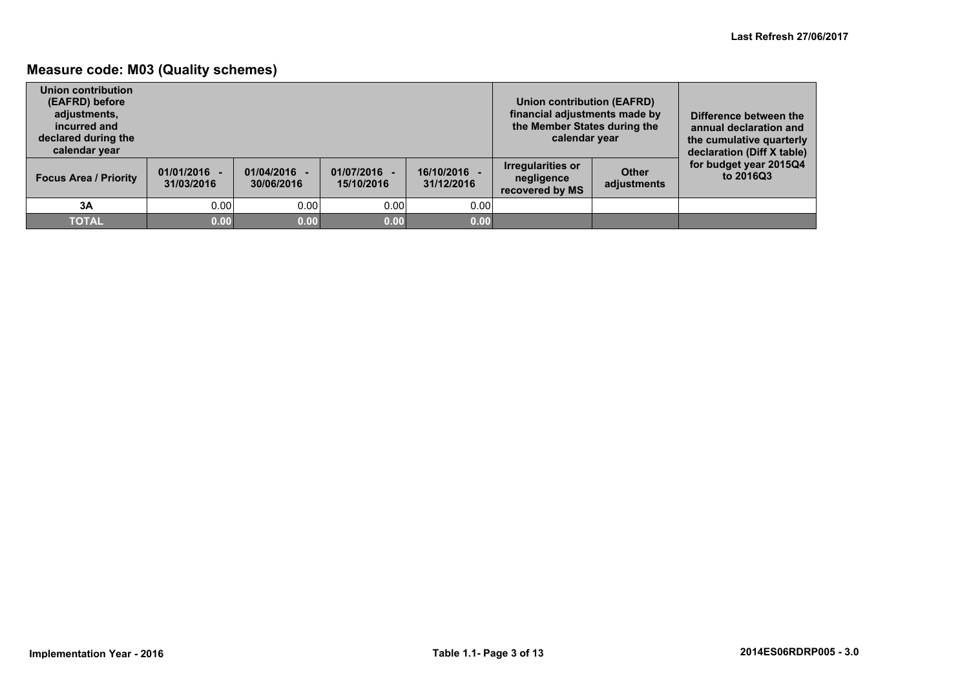### **Measure code: M03 (Quality schemes)**

| Union contribution<br>(EAFRD) before<br>adjustments,<br>incurred and<br>declared during the<br>calendar year |                              |                            |                          |                          | <b>Union contribution (EAFRD)</b><br>financial adjustments made by<br>the Member States during the<br>calendar year |                             | Difference between the<br>annual declaration and<br>the cumulative quarterly<br>declaration (Diff X table) |
|--------------------------------------------------------------------------------------------------------------|------------------------------|----------------------------|--------------------------|--------------------------|---------------------------------------------------------------------------------------------------------------------|-----------------------------|------------------------------------------------------------------------------------------------------------|
| <b>Focus Area / Priority</b>                                                                                 | $01/01/2016 -$<br>31/03/2016 | 01/04/2016 -<br>30/06/2016 | 01/07/2016<br>15/10/2016 | 16/10/2016<br>31/12/2016 | <b>Irregularities or</b><br>negligence<br>recovered by MS                                                           | <b>Other</b><br>adjustments | for budget year 2015Q4<br>to 2016Q3                                                                        |
| 3A                                                                                                           | 0.00                         | 0.00                       | 0.00                     | 0.00                     |                                                                                                                     |                             |                                                                                                            |
| <b>TOTAL</b>                                                                                                 | 0.00                         | 0.00                       | 0.00                     | 0.00                     |                                                                                                                     |                             |                                                                                                            |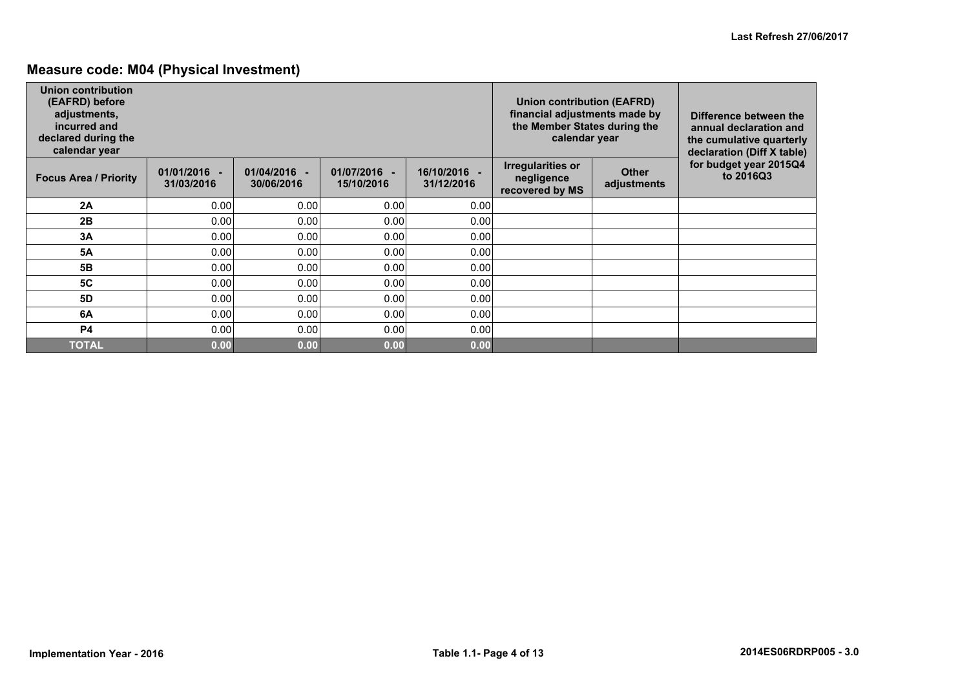### **Measure code: M04 (Physical Investment)**

| <b>Union contribution</b><br>(EAFRD) before<br>adjustments,<br>incurred and<br>declared during the<br>calendar year |                              |                            |                          |                            | Union contribution (EAFRD)<br>financial adjustments made by<br>the Member States during the<br>calendar year |                             | Difference between the<br>annual declaration and<br>the cumulative quarterly<br>declaration (Diff X table) |
|---------------------------------------------------------------------------------------------------------------------|------------------------------|----------------------------|--------------------------|----------------------------|--------------------------------------------------------------------------------------------------------------|-----------------------------|------------------------------------------------------------------------------------------------------------|
| <b>Focus Area / Priority</b>                                                                                        | $01/01/2016 -$<br>31/03/2016 | 01/04/2016 -<br>30/06/2016 | 01/07/2016<br>15/10/2016 | 16/10/2016 -<br>31/12/2016 | <b>Irregularities or</b><br>negligence<br>recovered by MS                                                    | <b>Other</b><br>adjustments | for budget year 2015Q4<br>to 2016Q3                                                                        |
| 2A                                                                                                                  | 0.00                         | 0.00                       | 0.00                     | 0.00                       |                                                                                                              |                             |                                                                                                            |
| 2B                                                                                                                  | 0.00                         | 0.00                       | 0.00                     | 0.00                       |                                                                                                              |                             |                                                                                                            |
| 3Α                                                                                                                  | 0.00                         | 0.00                       | 0.00                     | 0.00                       |                                                                                                              |                             |                                                                                                            |
| <b>5A</b>                                                                                                           | 0.00                         | 0.00                       | 0.00                     | 0.00                       |                                                                                                              |                             |                                                                                                            |
| 5B                                                                                                                  | 0.00                         | 0.00                       | 0.00                     | 0.00                       |                                                                                                              |                             |                                                                                                            |
| <b>5C</b>                                                                                                           | 0.00                         | 0.00                       | 0.00                     | 0.00                       |                                                                                                              |                             |                                                                                                            |
| <b>5D</b>                                                                                                           | 0.00                         | 0.00                       | 0.00                     | 0.00                       |                                                                                                              |                             |                                                                                                            |
| 6A                                                                                                                  | 0.00                         | 0.00                       | 0.00                     | 0.00                       |                                                                                                              |                             |                                                                                                            |
| <b>P4</b>                                                                                                           | 0.00                         | 0.00                       | 0.00                     | 0.00                       |                                                                                                              |                             |                                                                                                            |
| <b>TOTAL</b>                                                                                                        | 0.00                         | 0.00                       | 0.00                     | 0.00                       |                                                                                                              |                             |                                                                                                            |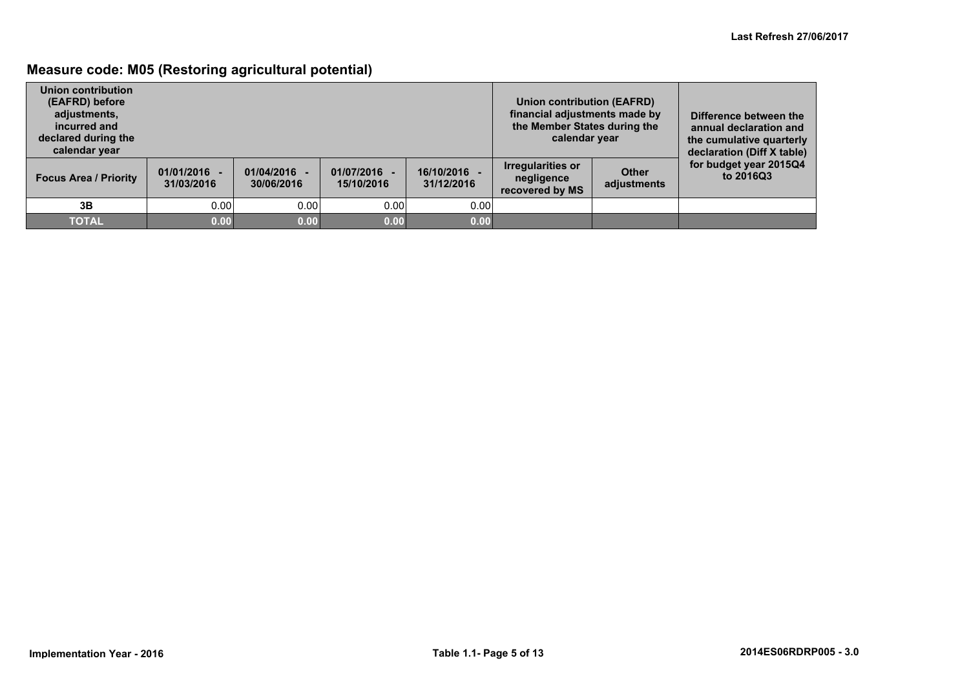### **Measure code: M05 (Restoring agricultural potential)**

| Union contribution<br>(EAFRD) before<br>adjustments,<br>incurred and<br>declared during the<br>calendar year |                              |                            |                          |                          | Union contribution (EAFRD)<br>financial adjustments made by<br>the Member States during the<br>calendar year |                             | Difference between the<br>annual declaration and<br>the cumulative quarterly<br>declaration (Diff X table) |
|--------------------------------------------------------------------------------------------------------------|------------------------------|----------------------------|--------------------------|--------------------------|--------------------------------------------------------------------------------------------------------------|-----------------------------|------------------------------------------------------------------------------------------------------------|
| <b>Focus Area / Priority</b>                                                                                 | $01/01/2016 -$<br>31/03/2016 | 01/04/2016 -<br>30/06/2016 | 01/07/2016<br>15/10/2016 | 16/10/2016<br>31/12/2016 | Irregularities or<br>negligence<br>recovered by MS                                                           | <b>Other</b><br>adjustments | for budget year 2015Q4<br>to 2016Q3                                                                        |
| 3В                                                                                                           | 0.00                         | 0.00                       | 0.00                     | 0.00                     |                                                                                                              |                             |                                                                                                            |
| <b>TOTAL</b>                                                                                                 | 0.00                         | 0.00                       | 0.00                     | 0.00                     |                                                                                                              |                             |                                                                                                            |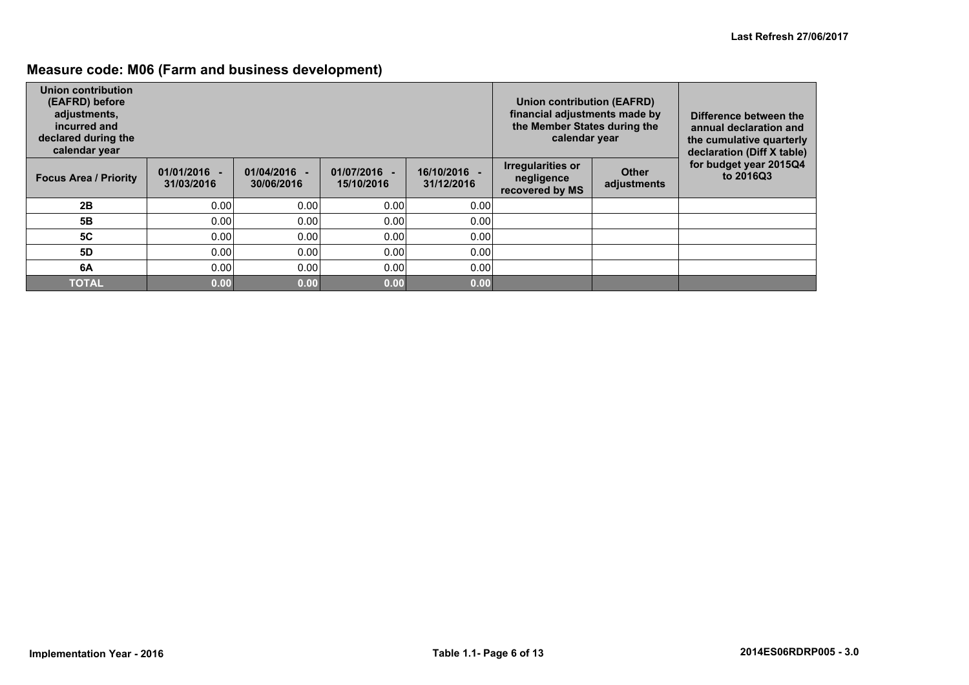## **Measure code: M06 (Farm and business development)**

| Union contribution<br>(EAFRD) before<br>adjustments,<br>incurred and<br>declared during the<br>calendar year |                              |                            |                          |                            | Union contribution (EAFRD)<br>financial adjustments made by<br>the Member States during the<br>calendar year |                             | Difference between the<br>annual declaration and<br>the cumulative quarterly<br>declaration (Diff X table) |
|--------------------------------------------------------------------------------------------------------------|------------------------------|----------------------------|--------------------------|----------------------------|--------------------------------------------------------------------------------------------------------------|-----------------------------|------------------------------------------------------------------------------------------------------------|
| <b>Focus Area / Priority</b>                                                                                 | $01/01/2016 -$<br>31/03/2016 | 01/04/2016 -<br>30/06/2016 | 01/07/2016<br>15/10/2016 | 16/10/2016 -<br>31/12/2016 | <b>Irregularities or</b><br>negligence<br>recovered by MS                                                    | <b>Other</b><br>adjustments | for budget year 2015Q4<br>to 2016Q3                                                                        |
| 2B                                                                                                           | 0.00                         | 0.00                       | 0.00                     | 0.00                       |                                                                                                              |                             |                                                                                                            |
| 5Β                                                                                                           | 0.00                         | 0.00                       | 0.00                     | 0.00                       |                                                                                                              |                             |                                                                                                            |
| <b>5C</b>                                                                                                    | 0.00                         | 0.00                       | 0.00                     | 0.00                       |                                                                                                              |                             |                                                                                                            |
| 5D                                                                                                           | 0.00                         | 0.00                       | 0.00                     | 0.00                       |                                                                                                              |                             |                                                                                                            |
| 6A                                                                                                           | 0.00                         | 0.00                       | 0.00                     | 0.00                       |                                                                                                              |                             |                                                                                                            |
| <b>TOTAL</b>                                                                                                 | 0.00                         | 0.00                       | 0.00                     | 0.00                       |                                                                                                              |                             |                                                                                                            |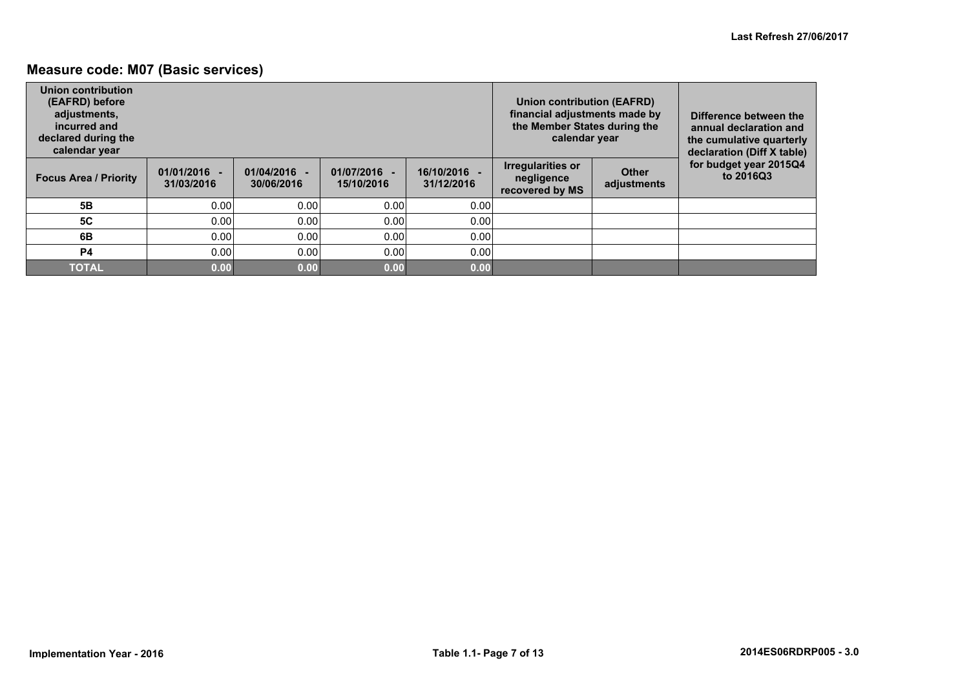### **Measure code: M07 (Basic services)**

| Union contribution<br>(EAFRD) before<br>adjustments,<br>incurred and<br>declared during the<br>calendar year |                              |                              |                          |                            | Union contribution (EAFRD)<br>financial adjustments made by<br>the Member States during the<br>calendar year |                             | Difference between the<br>annual declaration and<br>the cumulative quarterly<br>declaration (Diff X table) |
|--------------------------------------------------------------------------------------------------------------|------------------------------|------------------------------|--------------------------|----------------------------|--------------------------------------------------------------------------------------------------------------|-----------------------------|------------------------------------------------------------------------------------------------------------|
| <b>Focus Area / Priority</b>                                                                                 | $01/01/2016 -$<br>31/03/2016 | $01/04/2016 -$<br>30/06/2016 | 01/07/2016<br>15/10/2016 | 16/10/2016 -<br>31/12/2016 | <b>Irregularities or</b><br>negligence<br>recovered by MS                                                    | <b>Other</b><br>adjustments | for budget year 2015Q4<br>to 2016Q3                                                                        |
| 5B                                                                                                           | 0.00                         | 0.00                         | 0.00                     | 0.00                       |                                                                                                              |                             |                                                                                                            |
| <b>5C</b>                                                                                                    | 0.00                         | 0.00                         | 0.00                     | 0.00                       |                                                                                                              |                             |                                                                                                            |
| 6B                                                                                                           | 0.00                         | 0.00                         | 0.00                     | 0.00                       |                                                                                                              |                             |                                                                                                            |
| <b>P4</b>                                                                                                    | 0.00                         | 0.00                         | 0.00                     | 0.00                       |                                                                                                              |                             |                                                                                                            |
| <b>TOTAL</b>                                                                                                 | 0.00                         | 0.00                         | 0.00                     | 0.00                       |                                                                                                              |                             |                                                                                                            |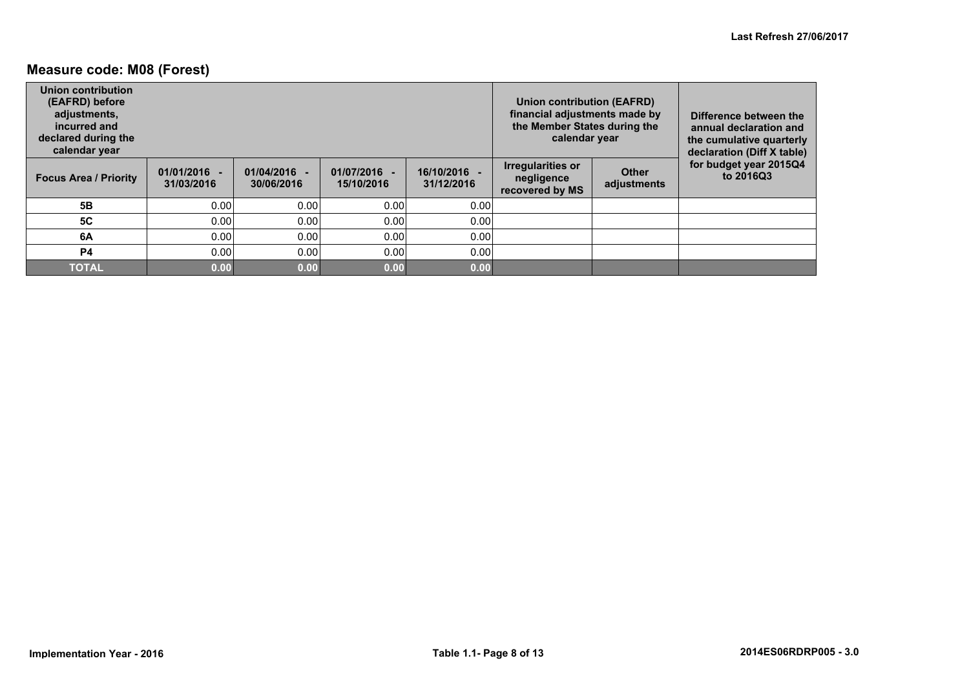### **Measure code: M08 (Forest)**

| Union contribution<br>(EAFRD) before<br>adjustments,<br>incurred and<br>declared during the<br>calendar year |                              |                            |                          |                            | Union contribution (EAFRD)<br>financial adjustments made by<br>the Member States during the<br>calendar year |                             | Difference between the<br>annual declaration and<br>the cumulative quarterly<br>declaration (Diff X table) |
|--------------------------------------------------------------------------------------------------------------|------------------------------|----------------------------|--------------------------|----------------------------|--------------------------------------------------------------------------------------------------------------|-----------------------------|------------------------------------------------------------------------------------------------------------|
| <b>Focus Area / Priority</b>                                                                                 | $01/01/2016 -$<br>31/03/2016 | 01/04/2016 -<br>30/06/2016 | 01/07/2016<br>15/10/2016 | 16/10/2016 -<br>31/12/2016 | Irregularities or<br>negligence<br>recovered by MS                                                           | <b>Other</b><br>adjustments | for budget year 2015Q4<br>to 2016Q3                                                                        |
| 5 <b>B</b>                                                                                                   | 0.00                         | 0.00                       | 0.00                     | 0.00                       |                                                                                                              |                             |                                                                                                            |
| <b>5C</b>                                                                                                    | 0.00                         | 0.00                       | 0.00                     | 0.00                       |                                                                                                              |                             |                                                                                                            |
| 6A                                                                                                           | 0.00                         | 0.00                       | 0.00                     | 0.00                       |                                                                                                              |                             |                                                                                                            |
| <b>P4</b>                                                                                                    | 0.00                         | 0.00                       | 0.00                     | 0.00                       |                                                                                                              |                             |                                                                                                            |
| TOTAL                                                                                                        | 0.00                         | 0.00                       | 0.00                     | 0.00                       |                                                                                                              |                             |                                                                                                            |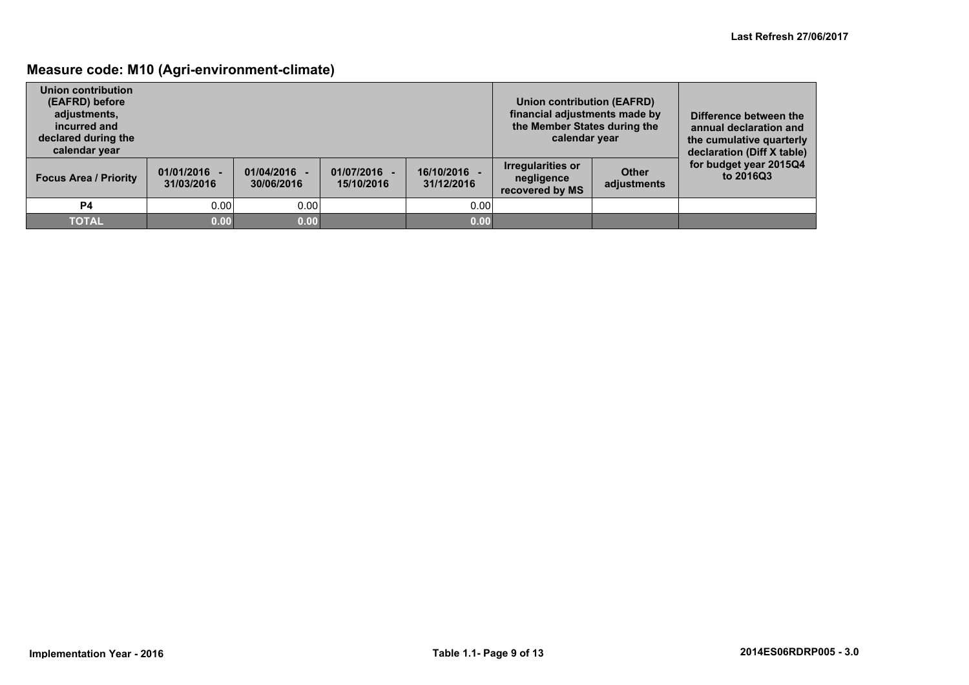### **Measure code: M10 (Agri-environment-climate)**

| Union contribution<br>(EAFRD) before<br>adjustments,<br>incurred and<br>declared during the<br>calendar year |                              |                            |                          |                          | Union contribution (EAFRD)<br>financial adjustments made by<br>the Member States during the<br>calendar year |                             | Difference between the<br>annual declaration and<br>the cumulative quarterly<br>declaration (Diff X table) |
|--------------------------------------------------------------------------------------------------------------|------------------------------|----------------------------|--------------------------|--------------------------|--------------------------------------------------------------------------------------------------------------|-----------------------------|------------------------------------------------------------------------------------------------------------|
| <b>Focus Area / Priority</b>                                                                                 | $01/01/2016 -$<br>31/03/2016 | 01/04/2016 -<br>30/06/2016 | 01/07/2016<br>15/10/2016 | 16/10/2016<br>31/12/2016 | Irregularities or<br>negligence<br>recovered by MS                                                           | <b>Other</b><br>adjustments | for budget year 2015Q4<br>to 2016Q3                                                                        |
| <b>P4</b>                                                                                                    | 0.00                         | 0.00                       |                          | 0.00                     |                                                                                                              |                             |                                                                                                            |
| <b>TOTAL</b>                                                                                                 | 0.00                         | 0.00                       |                          | 0.00                     |                                                                                                              |                             |                                                                                                            |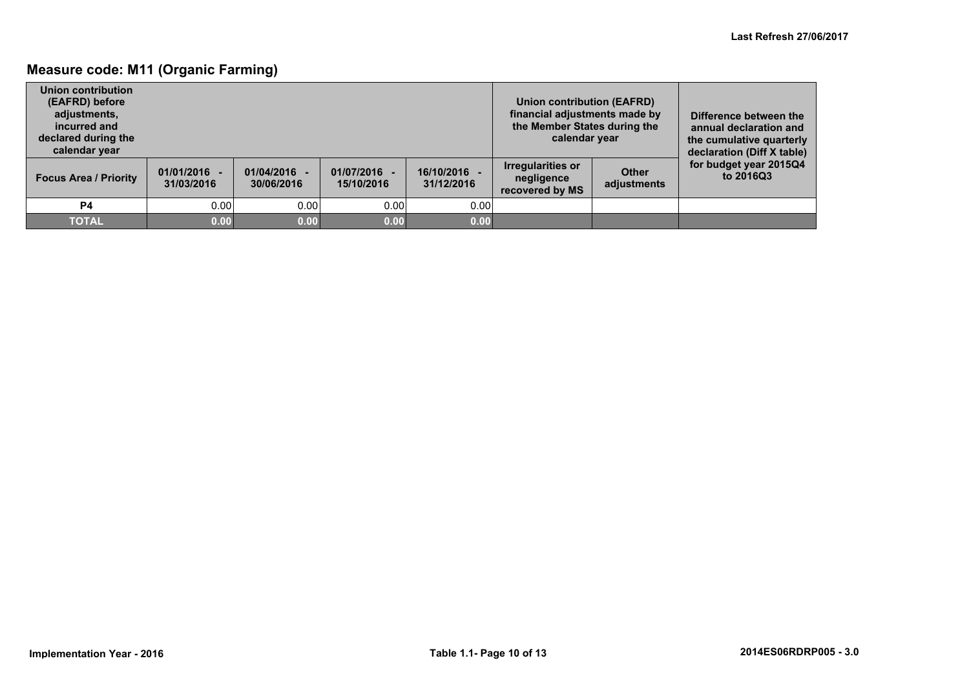### **Measure code: M11 (Organic Farming)**

| Union contribution<br>(EAFRD) before<br>adjustments,<br>incurred and<br>declared during the<br>calendar year |                              |                            |                          |                          | <b>Union contribution (EAFRD)</b><br>financial adjustments made by<br>the Member States during the<br>calendar year |                             | Difference between the<br>annual declaration and<br>the cumulative quarterly<br>declaration (Diff X table) |
|--------------------------------------------------------------------------------------------------------------|------------------------------|----------------------------|--------------------------|--------------------------|---------------------------------------------------------------------------------------------------------------------|-----------------------------|------------------------------------------------------------------------------------------------------------|
| <b>Focus Area / Priority</b>                                                                                 | $01/01/2016 -$<br>31/03/2016 | 01/04/2016 -<br>30/06/2016 | 01/07/2016<br>15/10/2016 | 16/10/2016<br>31/12/2016 | <b>Irregularities or</b><br>negligence<br>recovered by MS                                                           | <b>Other</b><br>adjustments | for budget year 2015Q4<br>to 2016Q3                                                                        |
| P4                                                                                                           | 0.00                         | 0.00                       | 0.00                     | 0.00                     |                                                                                                                     |                             |                                                                                                            |
| <b>TOTAL</b>                                                                                                 | 0.00                         | 0.00                       | 0.00                     | 0.00                     |                                                                                                                     |                             |                                                                                                            |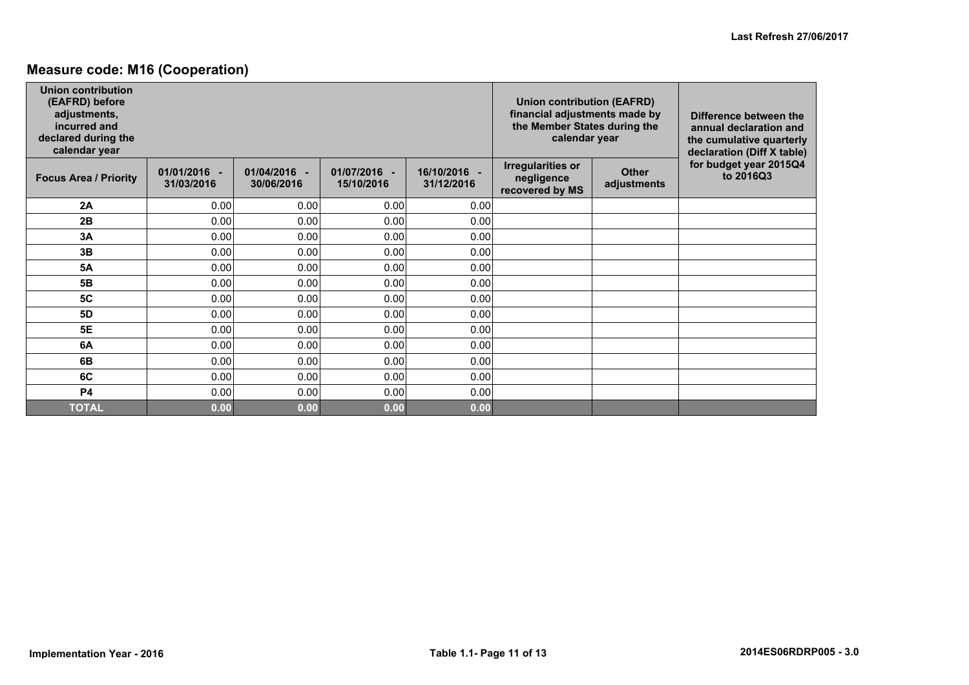### **Measure code: M16 (Cooperation)**

| <b>Union contribution</b><br>(EAFRD) before<br>adjustments,<br>incurred and<br>declared during the<br>calendar year |                            |                            |                            |                            | <b>Union contribution (EAFRD)</b><br>financial adjustments made by<br>the Member States during the<br>calendar year |                             | Difference between the<br>annual declaration and<br>the cumulative quarterly<br>declaration (Diff X table) |
|---------------------------------------------------------------------------------------------------------------------|----------------------------|----------------------------|----------------------------|----------------------------|---------------------------------------------------------------------------------------------------------------------|-----------------------------|------------------------------------------------------------------------------------------------------------|
| <b>Focus Area / Priority</b>                                                                                        | 01/01/2016 -<br>31/03/2016 | 01/04/2016 -<br>30/06/2016 | 01/07/2016 -<br>15/10/2016 | 16/10/2016 -<br>31/12/2016 | <b>Irregularities or</b><br>negligence<br>recovered by MS                                                           | <b>Other</b><br>adjustments | for budget year 2015Q4<br>to 2016Q3                                                                        |
| 2A                                                                                                                  | 0.00                       | 0.00                       | 0.00                       | 0.00                       |                                                                                                                     |                             |                                                                                                            |
| 2B                                                                                                                  | 0.00                       | 0.00                       | 0.00                       | 0.00                       |                                                                                                                     |                             |                                                                                                            |
| 3A                                                                                                                  | 0.00                       | 0.00                       | 0.00                       | 0.00                       |                                                                                                                     |                             |                                                                                                            |
| 3B                                                                                                                  | 0.00                       | 0.00                       | 0.00                       | 0.00                       |                                                                                                                     |                             |                                                                                                            |
| <b>5A</b>                                                                                                           | 0.00                       | 0.00                       | 0.00                       | 0.00                       |                                                                                                                     |                             |                                                                                                            |
| 5B                                                                                                                  | 0.00                       | 0.00                       | 0.00                       | 0.00                       |                                                                                                                     |                             |                                                                                                            |
| <b>5C</b>                                                                                                           | 0.00                       | 0.00                       | 0.00                       | 0.00                       |                                                                                                                     |                             |                                                                                                            |
| 5D                                                                                                                  | 0.00                       | 0.00                       | 0.00                       | 0.00                       |                                                                                                                     |                             |                                                                                                            |
| <b>5E</b>                                                                                                           | 0.00                       | 0.00                       | 0.00                       | 0.00                       |                                                                                                                     |                             |                                                                                                            |
| 6A                                                                                                                  | 0.00                       | 0.00                       | 0.00                       | 0.00                       |                                                                                                                     |                             |                                                                                                            |
| 6B                                                                                                                  | 0.00                       | 0.00                       | 0.00                       | 0.00                       |                                                                                                                     |                             |                                                                                                            |
| 6C                                                                                                                  | 0.00                       | 0.00                       | 0.00                       | 0.00                       |                                                                                                                     |                             |                                                                                                            |
| <b>P4</b>                                                                                                           | 0.00                       | 0.00                       | 0.00                       | 0.00                       |                                                                                                                     |                             |                                                                                                            |
| <b>TOTAL</b>                                                                                                        | 0.00                       | 0.00                       | 0.00                       | 0.00                       |                                                                                                                     |                             |                                                                                                            |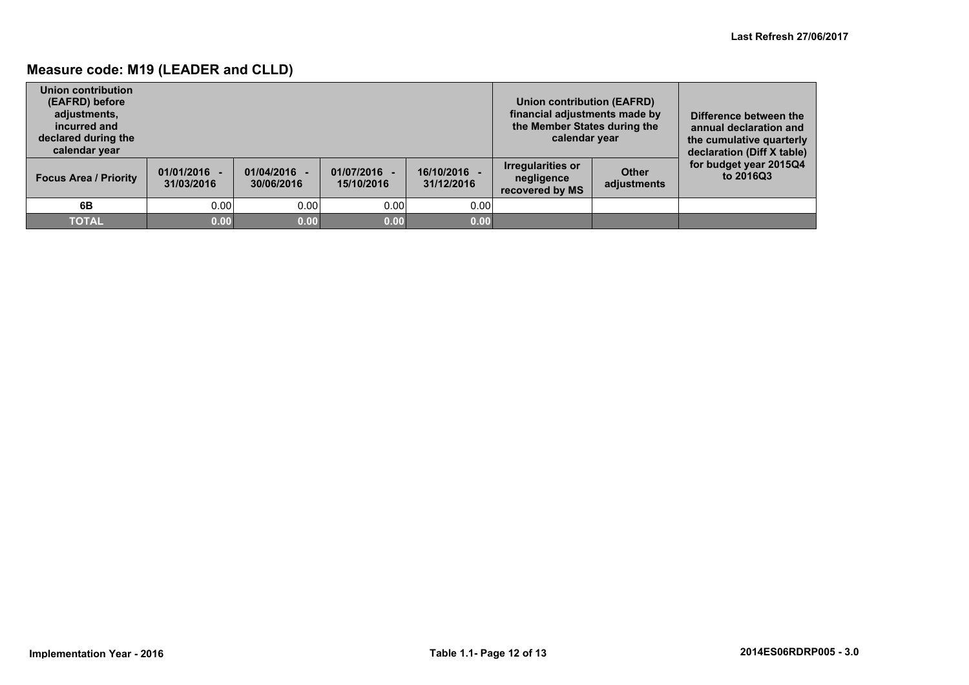### **Measure code: M19 (LEADER and CLLD)**

| Union contribution<br>(EAFRD) before<br>adjustments,<br>incurred and<br>declared during the<br>calendar year |                              |                            |                          |                          | Union contribution (EAFRD)<br>financial adjustments made by<br>the Member States during the<br>calendar year |                             | Difference between the<br>annual declaration and<br>the cumulative quarterly<br>declaration (Diff X table) |
|--------------------------------------------------------------------------------------------------------------|------------------------------|----------------------------|--------------------------|--------------------------|--------------------------------------------------------------------------------------------------------------|-----------------------------|------------------------------------------------------------------------------------------------------------|
| <b>Focus Area / Priority</b>                                                                                 | $01/01/2016 -$<br>31/03/2016 | 01/04/2016 -<br>30/06/2016 | 01/07/2016<br>15/10/2016 | 16/10/2016<br>31/12/2016 | <b>Irregularities or</b><br>negligence<br>recovered by MS                                                    | <b>Other</b><br>adjustments | for budget year 2015Q4<br>to 2016Q3                                                                        |
| 6B                                                                                                           | 0.00                         | 0.00                       | 0.00                     | 0.00                     |                                                                                                              |                             |                                                                                                            |
| <b>TOTAL</b>                                                                                                 | 0.00                         | 0.00                       | 0.00                     | 0.00                     |                                                                                                              |                             |                                                                                                            |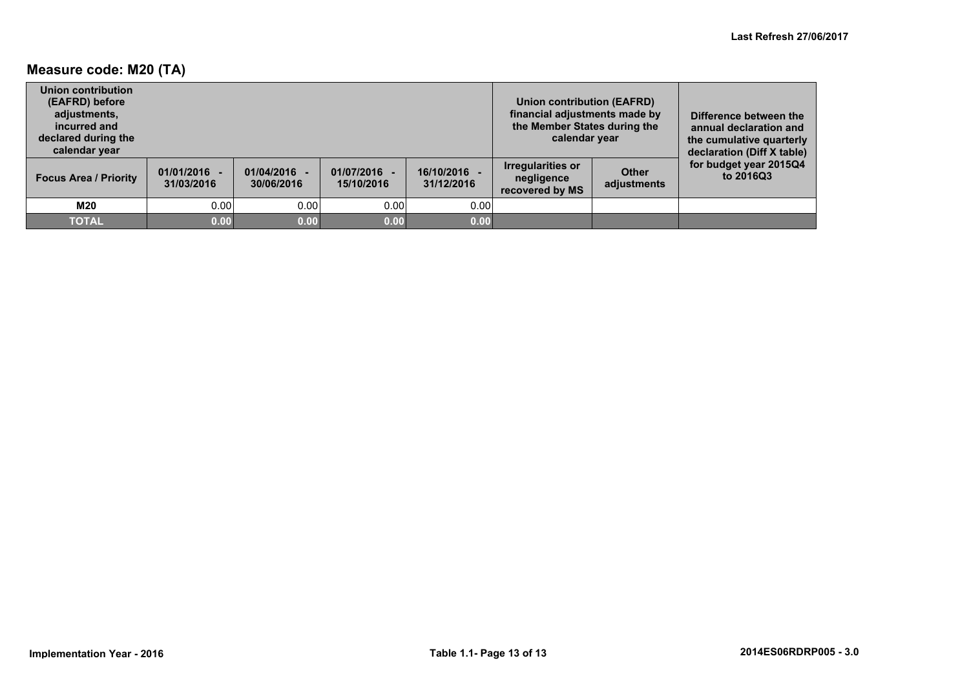### **Measure code: M20 (TA)**

| Union contribution<br>(EAFRD) before<br>adjustments,<br>incurred and<br>declared during the<br>calendar year |                              |                            |                          |                          | <b>Union contribution (EAFRD)</b><br>financial adjustments made by<br>the Member States during the<br>calendar year |                             | Difference between the<br>annual declaration and<br>the cumulative quarterly<br>declaration (Diff X table) |
|--------------------------------------------------------------------------------------------------------------|------------------------------|----------------------------|--------------------------|--------------------------|---------------------------------------------------------------------------------------------------------------------|-----------------------------|------------------------------------------------------------------------------------------------------------|
| <b>Focus Area / Priority</b>                                                                                 | $01/01/2016 -$<br>31/03/2016 | 01/04/2016 -<br>30/06/2016 | 01/07/2016<br>15/10/2016 | 16/10/2016<br>31/12/2016 | <b>Irregularities or</b><br>negligence<br>recovered by MS                                                           | <b>Other</b><br>adjustments | for budget year 2015Q4<br>to 2016Q3                                                                        |
| M20                                                                                                          | 0.00                         | 0.00                       | 0.00                     | 0.00                     |                                                                                                                     |                             |                                                                                                            |
| <b>TOTAL</b>                                                                                                 | 0.00                         | 0.00                       | 0.00                     | 0.00                     |                                                                                                                     |                             |                                                                                                            |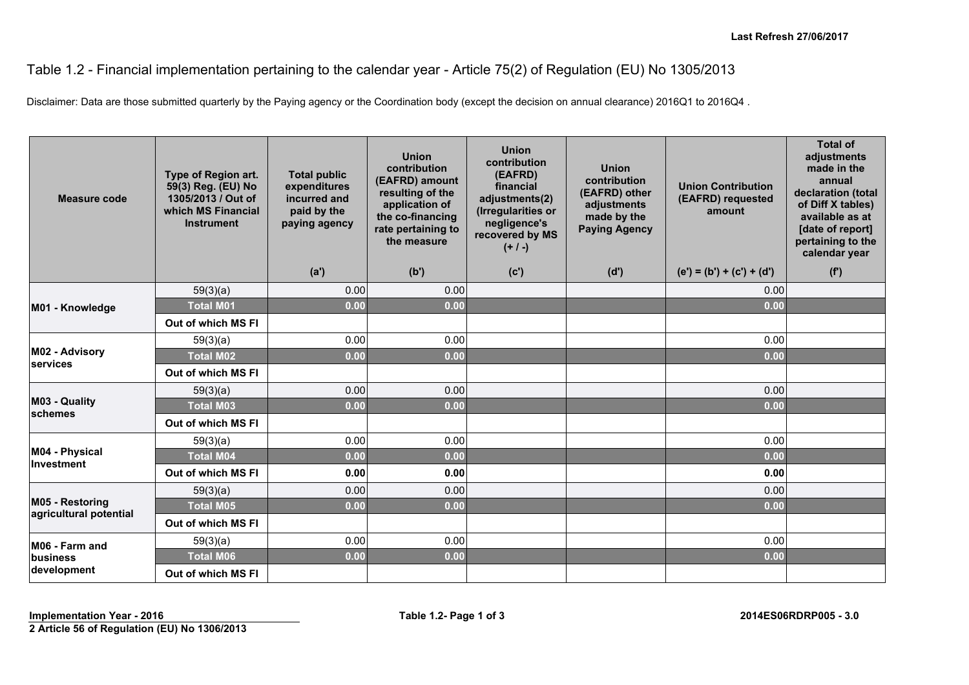## Table 1.2 - Financial implementation pertaining to the calendar year - Article 75(2) of Regulation (EU) No 1305/2013

Disclaimer: Data are those submitted quarterly by the Paying agency or the Coordination body (except the decision on annual clearance) 2016Q1 to 2016Q4 .

| Measure code                              | Type of Region art.<br>59(3) Reg. (EU) No<br>1305/2013 / Out of<br>which MS Financial<br><b>Instrument</b> | <b>Total public</b><br>expenditures<br>incurred and<br>paid by the<br>paying agency | <b>Union</b><br>contribution<br>(EAFRD) amount<br>resulting of the<br>application of<br>the co-financing<br>rate pertaining to<br>the measure | <b>Union</b><br>contribution<br>(EAFRD)<br>financial<br>adjustments(2)<br>(Irregularities or<br>negligence's<br>recovered by MS<br>$(+ / -)$ | <b>Union</b><br>contribution<br>(EAFRD) other<br>adjustments<br>made by the<br><b>Paying Agency</b> | <b>Union Contribution</b><br>(EAFRD) requested<br>amount | <b>Total of</b><br>adjustments<br>made in the<br>annual<br>declaration (total<br>of Diff X tables)<br>available as at<br>[date of report]<br>pertaining to the<br>calendar year |
|-------------------------------------------|------------------------------------------------------------------------------------------------------------|-------------------------------------------------------------------------------------|-----------------------------------------------------------------------------------------------------------------------------------------------|----------------------------------------------------------------------------------------------------------------------------------------------|-----------------------------------------------------------------------------------------------------|----------------------------------------------------------|---------------------------------------------------------------------------------------------------------------------------------------------------------------------------------|
|                                           |                                                                                                            | (a')                                                                                | (b')                                                                                                                                          | (c')                                                                                                                                         | (d')                                                                                                | $(e') = (b') + (c') + (d')$                              | (f')                                                                                                                                                                            |
|                                           | 59(3)(a)                                                                                                   | 0.00                                                                                | 0.00                                                                                                                                          |                                                                                                                                              |                                                                                                     | 0.00                                                     |                                                                                                                                                                                 |
| M01 - Knowledge                           | <b>Total M01</b>                                                                                           | 0.00                                                                                | 0.00                                                                                                                                          |                                                                                                                                              |                                                                                                     | 0.00                                                     |                                                                                                                                                                                 |
|                                           | Out of which MS FI                                                                                         |                                                                                     |                                                                                                                                               |                                                                                                                                              |                                                                                                     |                                                          |                                                                                                                                                                                 |
|                                           | 59(3)(a)                                                                                                   | 0.00                                                                                | 0.00                                                                                                                                          |                                                                                                                                              |                                                                                                     | 0.00                                                     |                                                                                                                                                                                 |
| M02 - Advisory<br>services                | <b>Total M02</b>                                                                                           | 0.00                                                                                | 0.00                                                                                                                                          |                                                                                                                                              |                                                                                                     | 0.00                                                     |                                                                                                                                                                                 |
|                                           | Out of which MS FI                                                                                         |                                                                                     |                                                                                                                                               |                                                                                                                                              |                                                                                                     |                                                          |                                                                                                                                                                                 |
|                                           | 59(3)(a)                                                                                                   | 0.00                                                                                | 0.00                                                                                                                                          |                                                                                                                                              |                                                                                                     | 0.00                                                     |                                                                                                                                                                                 |
| M03 - Quality<br>schemes                  | <b>Total M03</b>                                                                                           | 0.00                                                                                | 0.00                                                                                                                                          |                                                                                                                                              |                                                                                                     | 0.00                                                     |                                                                                                                                                                                 |
|                                           | Out of which MS FI                                                                                         |                                                                                     |                                                                                                                                               |                                                                                                                                              |                                                                                                     |                                                          |                                                                                                                                                                                 |
|                                           | 59(3)(a)                                                                                                   | 0.00                                                                                | 0.00                                                                                                                                          |                                                                                                                                              |                                                                                                     | 0.00                                                     |                                                                                                                                                                                 |
| M04 - Physical<br>Investment              | <b>Total M04</b>                                                                                           | 0.00                                                                                | 0.00                                                                                                                                          |                                                                                                                                              |                                                                                                     | 0.00                                                     |                                                                                                                                                                                 |
|                                           | Out of which MS FI                                                                                         | 0.00                                                                                | 0.00                                                                                                                                          |                                                                                                                                              |                                                                                                     | 0.00                                                     |                                                                                                                                                                                 |
|                                           | 59(3)(a)                                                                                                   | 0.00                                                                                | 0.00                                                                                                                                          |                                                                                                                                              |                                                                                                     | 0.00                                                     |                                                                                                                                                                                 |
| M05 - Restoring<br>agricultural potential | <b>Total M05</b>                                                                                           | 0.00                                                                                | 0.00                                                                                                                                          |                                                                                                                                              |                                                                                                     | 0.00                                                     |                                                                                                                                                                                 |
|                                           | Out of which MS FI                                                                                         |                                                                                     |                                                                                                                                               |                                                                                                                                              |                                                                                                     |                                                          |                                                                                                                                                                                 |
| M06 - Farm and                            | 59(3)(a)                                                                                                   | 0.00                                                                                | 0.00                                                                                                                                          |                                                                                                                                              |                                                                                                     | 0.00                                                     |                                                                                                                                                                                 |
| business                                  | <b>Total M06</b>                                                                                           | 0.00                                                                                | 0.00                                                                                                                                          |                                                                                                                                              |                                                                                                     | 0.00                                                     |                                                                                                                                                                                 |
| development                               | Out of which MS FI                                                                                         |                                                                                     |                                                                                                                                               |                                                                                                                                              |                                                                                                     |                                                          |                                                                                                                                                                                 |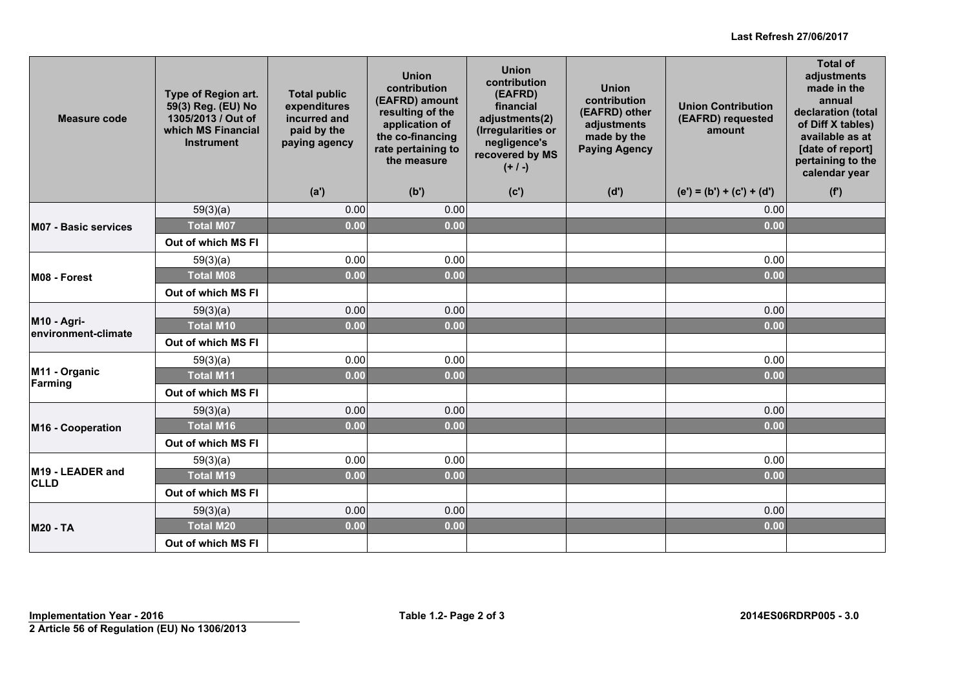#### **Last Refresh 27/06/2017**

| <b>Measure code</b>                | Type of Region art.<br>59(3) Reg. (EU) No<br>1305/2013 / Out of<br>which MS Financial<br><b>Instrument</b> | <b>Total public</b><br>expenditures<br>incurred and<br>paid by the<br>paying agency | <b>Union</b><br>contribution<br>(EAFRD) amount<br>resulting of the<br>application of<br>the co-financing<br>rate pertaining to<br>the measure | <b>Union</b><br>contribution<br>(EAFRD)<br>financial<br>adjustments(2)<br>(Irregularities or<br>negligence's<br>recovered by MS<br>$(+ / -)$ | <b>Union</b><br>contribution<br>(EAFRD) other<br>adjustments<br>made by the<br><b>Paying Agency</b> | <b>Union Contribution</b><br>(EAFRD) requested<br>amount | <b>Total of</b><br>adjustments<br>made in the<br>annual<br>declaration (total<br>of Diff X tables)<br>available as at<br>[date of report]<br>pertaining to the<br>calendar year |
|------------------------------------|------------------------------------------------------------------------------------------------------------|-------------------------------------------------------------------------------------|-----------------------------------------------------------------------------------------------------------------------------------------------|----------------------------------------------------------------------------------------------------------------------------------------------|-----------------------------------------------------------------------------------------------------|----------------------------------------------------------|---------------------------------------------------------------------------------------------------------------------------------------------------------------------------------|
|                                    |                                                                                                            | (a')                                                                                | (b')                                                                                                                                          | (c')                                                                                                                                         | (d')                                                                                                | $(e') = (b') + (c') + (d')$                              | (f')                                                                                                                                                                            |
|                                    | 59(3)(a)                                                                                                   | 0.00                                                                                | 0.00                                                                                                                                          |                                                                                                                                              |                                                                                                     | 0.00                                                     |                                                                                                                                                                                 |
| <b>M07 - Basic services</b>        | <b>Total M07</b>                                                                                           | 0.00                                                                                | 0.00                                                                                                                                          |                                                                                                                                              |                                                                                                     | 0.00                                                     |                                                                                                                                                                                 |
|                                    | Out of which MS FI                                                                                         |                                                                                     |                                                                                                                                               |                                                                                                                                              |                                                                                                     |                                                          |                                                                                                                                                                                 |
|                                    | 59(3)(a)                                                                                                   | 0.00                                                                                | 0.00                                                                                                                                          |                                                                                                                                              |                                                                                                     | 0.00                                                     |                                                                                                                                                                                 |
| M08 - Forest                       | <b>Total M08</b>                                                                                           | 0.00                                                                                | 0.00                                                                                                                                          |                                                                                                                                              |                                                                                                     | 0.00                                                     |                                                                                                                                                                                 |
|                                    | Out of which MS FI                                                                                         |                                                                                     |                                                                                                                                               |                                                                                                                                              |                                                                                                     |                                                          |                                                                                                                                                                                 |
|                                    | 59(3)(a)                                                                                                   | 0.00                                                                                | 0.00                                                                                                                                          |                                                                                                                                              |                                                                                                     | 0.00                                                     |                                                                                                                                                                                 |
| M10 - Agri-<br>environment-climate | <b>Total M10</b>                                                                                           | 0.00                                                                                | 0.00                                                                                                                                          |                                                                                                                                              |                                                                                                     | 0.00                                                     |                                                                                                                                                                                 |
|                                    | Out of which MS FI                                                                                         |                                                                                     |                                                                                                                                               |                                                                                                                                              |                                                                                                     |                                                          |                                                                                                                                                                                 |
|                                    | 59(3)(a)                                                                                                   | 0.00                                                                                | 0.00                                                                                                                                          |                                                                                                                                              |                                                                                                     | 0.00                                                     |                                                                                                                                                                                 |
| M11 - Organic<br>Farming           | <b>Total M11</b>                                                                                           | 0.00                                                                                | 0.00                                                                                                                                          |                                                                                                                                              |                                                                                                     | 0.00                                                     |                                                                                                                                                                                 |
|                                    | Out of which MS FI                                                                                         |                                                                                     |                                                                                                                                               |                                                                                                                                              |                                                                                                     |                                                          |                                                                                                                                                                                 |
|                                    | 59(3)(a)                                                                                                   | 0.00                                                                                | 0.00                                                                                                                                          |                                                                                                                                              |                                                                                                     | 0.00                                                     |                                                                                                                                                                                 |
| M16 - Cooperation                  | <b>Total M16</b>                                                                                           | 0.00                                                                                | 0.00                                                                                                                                          |                                                                                                                                              |                                                                                                     | 0.00                                                     |                                                                                                                                                                                 |
|                                    | Out of which MS FI                                                                                         |                                                                                     |                                                                                                                                               |                                                                                                                                              |                                                                                                     |                                                          |                                                                                                                                                                                 |
|                                    | 59(3)(a)                                                                                                   | 0.00                                                                                | 0.00                                                                                                                                          |                                                                                                                                              |                                                                                                     | 0.00                                                     |                                                                                                                                                                                 |
| M19 - LEADER and<br><b>CLLD</b>    | <b>Total M19</b>                                                                                           | 0.00                                                                                | 0.00                                                                                                                                          |                                                                                                                                              |                                                                                                     | 0.00                                                     |                                                                                                                                                                                 |
|                                    | Out of which MS FI                                                                                         |                                                                                     |                                                                                                                                               |                                                                                                                                              |                                                                                                     |                                                          |                                                                                                                                                                                 |
|                                    | 59(3)(a)                                                                                                   | 0.00                                                                                | 0.00                                                                                                                                          |                                                                                                                                              |                                                                                                     | 0.00                                                     |                                                                                                                                                                                 |
| <b>M20 - TA</b>                    | <b>Total M20</b>                                                                                           | 0.00                                                                                | 0.00                                                                                                                                          |                                                                                                                                              |                                                                                                     | 0.00                                                     |                                                                                                                                                                                 |
|                                    | Out of which MS FI                                                                                         |                                                                                     |                                                                                                                                               |                                                                                                                                              |                                                                                                     |                                                          |                                                                                                                                                                                 |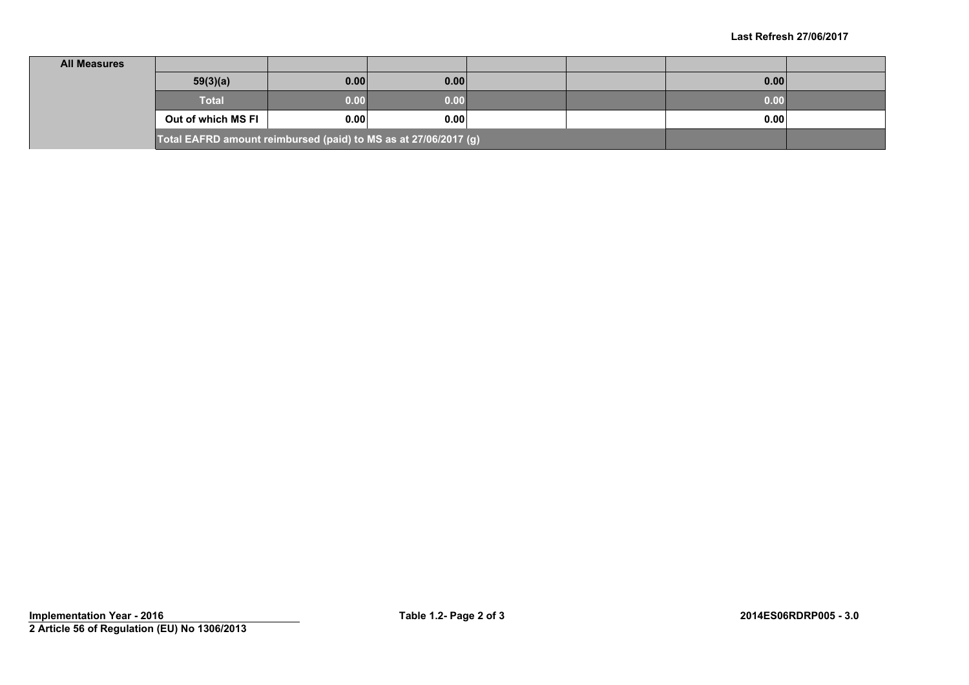| <b>All Measures</b>                                             |                    |      |      |  |  |      |  |
|-----------------------------------------------------------------|--------------------|------|------|--|--|------|--|
|                                                                 | 59(3)(a)           | 0.00 | 0.00 |  |  | 0.00 |  |
|                                                                 | <b>Total</b>       | 0.00 | 0.00 |  |  | 0.00 |  |
|                                                                 | Out of which MS FI | 0.00 | 0.00 |  |  | 0.00 |  |
| Total EAFRD amount reimbursed (paid) to MS as at 27/06/2017 (g) |                    |      |      |  |  |      |  |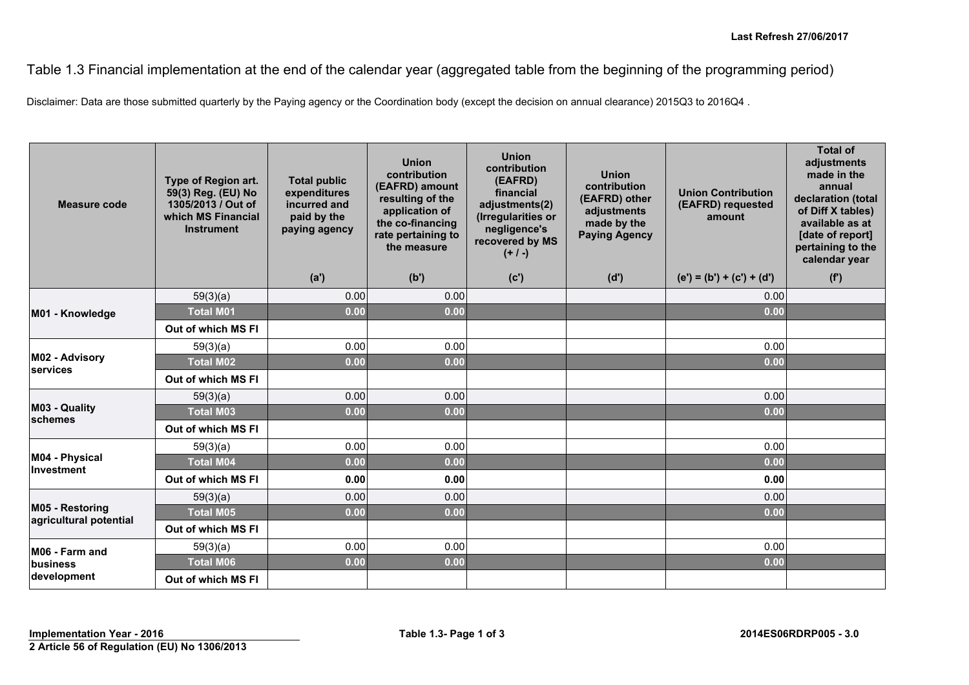Table 1.3 Financial implementation at the end of the calendar year (aggregated table from the beginning of the programming period)

Disclaimer: Data are those submitted quarterly by the Paying agency or the Coordination body (except the decision on annual clearance) 2015Q3 to 2016Q4 .

| <b>Measure code</b>                       | Type of Region art.<br>59(3) Reg. (EU) No<br>1305/2013 / Out of<br>which MS Financial<br><b>Instrument</b> | <b>Total public</b><br>expenditures<br>incurred and<br>paid by the<br>paying agency | <b>Union</b><br>contribution<br>(EAFRD) amount<br>resulting of the<br>application of<br>the co-financing<br>rate pertaining to<br>the measure | <b>Union</b><br>contribution<br>(EAFRD)<br>financial<br>adjustments(2)<br>(Irregularities or<br>negligence's<br>recovered by MS<br>$(+ / -)$ | Union<br>contribution<br>(EAFRD) other<br>adjustments<br>made by the<br><b>Paying Agency</b> | <b>Union Contribution</b><br>(EAFRD) requested<br>amount | <b>Total of</b><br>adjustments<br>made in the<br>annual<br>declaration (total<br>of Diff X tables)<br>available as at<br>[date of report]<br>pertaining to the<br>calendar year |
|-------------------------------------------|------------------------------------------------------------------------------------------------------------|-------------------------------------------------------------------------------------|-----------------------------------------------------------------------------------------------------------------------------------------------|----------------------------------------------------------------------------------------------------------------------------------------------|----------------------------------------------------------------------------------------------|----------------------------------------------------------|---------------------------------------------------------------------------------------------------------------------------------------------------------------------------------|
|                                           |                                                                                                            | (a')                                                                                | (b')                                                                                                                                          | (c')                                                                                                                                         | (d')                                                                                         | $(e') = (b') + (c') + (d')$                              | (f')                                                                                                                                                                            |
|                                           | 59(3)(a)                                                                                                   | 0.00                                                                                | 0.00                                                                                                                                          |                                                                                                                                              |                                                                                              | 0.00                                                     |                                                                                                                                                                                 |
| M01 - Knowledge                           | <b>Total M01</b>                                                                                           | 0.00                                                                                | 0.00                                                                                                                                          |                                                                                                                                              |                                                                                              | 0.00                                                     |                                                                                                                                                                                 |
|                                           | Out of which MS FI                                                                                         |                                                                                     |                                                                                                                                               |                                                                                                                                              |                                                                                              |                                                          |                                                                                                                                                                                 |
|                                           | 59(3)(a)                                                                                                   | 0.00                                                                                | 0.00                                                                                                                                          |                                                                                                                                              |                                                                                              | 0.00                                                     |                                                                                                                                                                                 |
| M02 - Advisory<br>services                | <b>Total M02</b>                                                                                           | 0.00                                                                                | 0.00                                                                                                                                          |                                                                                                                                              |                                                                                              | 0.00                                                     |                                                                                                                                                                                 |
|                                           | Out of which MS FI                                                                                         |                                                                                     |                                                                                                                                               |                                                                                                                                              |                                                                                              |                                                          |                                                                                                                                                                                 |
|                                           | 59(3)(a)                                                                                                   | 0.00                                                                                | 0.00                                                                                                                                          |                                                                                                                                              |                                                                                              | 0.00                                                     |                                                                                                                                                                                 |
| M03 - Quality<br>schemes                  | <b>Total M03</b>                                                                                           | 0.00                                                                                | 0.00                                                                                                                                          |                                                                                                                                              |                                                                                              | 0.00                                                     |                                                                                                                                                                                 |
|                                           | Out of which MS FI                                                                                         |                                                                                     |                                                                                                                                               |                                                                                                                                              |                                                                                              |                                                          |                                                                                                                                                                                 |
|                                           | 59(3)(a)                                                                                                   | 0.00                                                                                | 0.00                                                                                                                                          |                                                                                                                                              |                                                                                              | 0.00                                                     |                                                                                                                                                                                 |
| M04 - Physical<br>Investment              | <b>Total M04</b>                                                                                           | 0.00                                                                                | 0.00                                                                                                                                          |                                                                                                                                              |                                                                                              | 0.00                                                     |                                                                                                                                                                                 |
|                                           | Out of which MS FI                                                                                         | 0.00                                                                                | 0.00                                                                                                                                          |                                                                                                                                              |                                                                                              | 0.00                                                     |                                                                                                                                                                                 |
|                                           | 59(3)(a)                                                                                                   | 0.00                                                                                | 0.00                                                                                                                                          |                                                                                                                                              |                                                                                              | 0.00                                                     |                                                                                                                                                                                 |
| M05 - Restoring<br>agricultural potential | <b>Total M05</b>                                                                                           | 0.00                                                                                | 0.00                                                                                                                                          |                                                                                                                                              |                                                                                              | 0.00                                                     |                                                                                                                                                                                 |
|                                           | Out of which MS FI                                                                                         |                                                                                     |                                                                                                                                               |                                                                                                                                              |                                                                                              |                                                          |                                                                                                                                                                                 |
| M06 - Farm and                            | 59(3)(a)                                                                                                   | 0.00                                                                                | 0.00                                                                                                                                          |                                                                                                                                              |                                                                                              | 0.00                                                     |                                                                                                                                                                                 |
| business                                  | <b>Total M06</b>                                                                                           | 0.00                                                                                | 0.00                                                                                                                                          |                                                                                                                                              |                                                                                              | 0.00                                                     |                                                                                                                                                                                 |
| development                               | Out of which MS FI                                                                                         |                                                                                     |                                                                                                                                               |                                                                                                                                              |                                                                                              |                                                          |                                                                                                                                                                                 |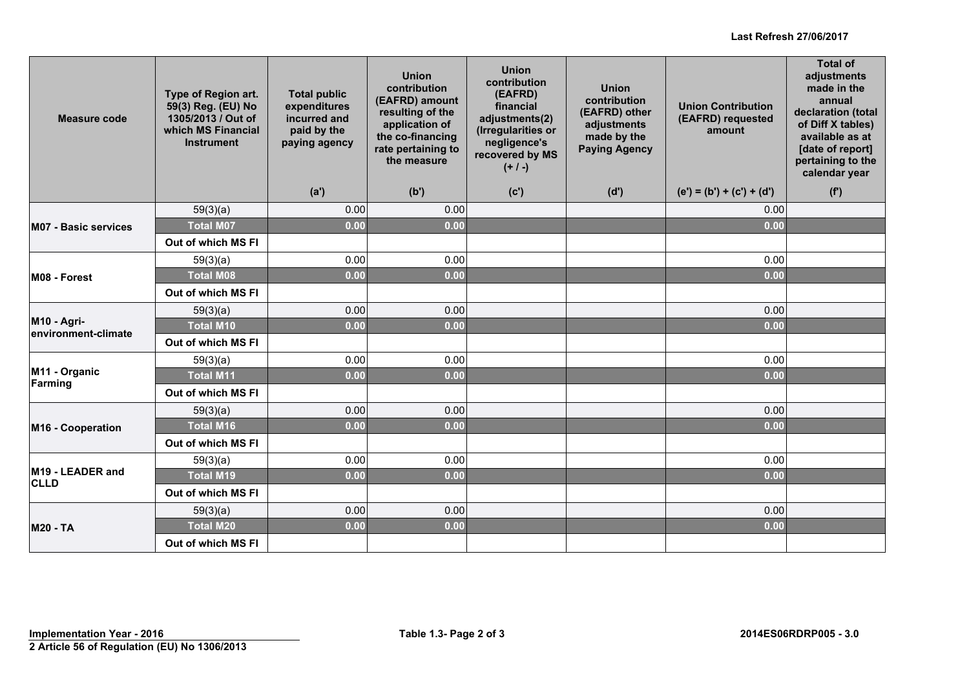#### **Last Refresh 27/06/2017**

| Measure code                       | Type of Region art.<br>59(3) Reg. (EU) No<br>1305/2013 / Out of<br>which MS Financial<br><b>Instrument</b> | <b>Total public</b><br>expenditures<br>incurred and<br>paid by the<br>paying agency | <b>Union</b><br>contribution<br>(EAFRD) amount<br>resulting of the<br>application of<br>the co-financing<br>rate pertaining to<br>the measure | <b>Union</b><br>contribution<br>(EAFRD)<br>financial<br>adjustments(2)<br>(Irregularities or<br>negligence's<br>recovered by MS<br>$(+ / -)$ | <b>Union</b><br>contribution<br>(EAFRD) other<br>adjustments<br>made by the<br><b>Paying Agency</b> | <b>Union Contribution</b><br>(EAFRD) requested<br>amount | <b>Total of</b><br>adjustments<br>made in the<br>annual<br>declaration (total<br>of Diff X tables)<br>available as at<br>[date of report]<br>pertaining to the<br>calendar year |
|------------------------------------|------------------------------------------------------------------------------------------------------------|-------------------------------------------------------------------------------------|-----------------------------------------------------------------------------------------------------------------------------------------------|----------------------------------------------------------------------------------------------------------------------------------------------|-----------------------------------------------------------------------------------------------------|----------------------------------------------------------|---------------------------------------------------------------------------------------------------------------------------------------------------------------------------------|
|                                    |                                                                                                            | (a')                                                                                | (b')                                                                                                                                          | (c')                                                                                                                                         | (d')                                                                                                | $(e') = (b') + (c') + (d')$                              | (f')                                                                                                                                                                            |
|                                    | 59(3)(a)                                                                                                   | 0.00                                                                                | 0.00                                                                                                                                          |                                                                                                                                              |                                                                                                     | 0.00                                                     |                                                                                                                                                                                 |
| <b>M07 - Basic services</b>        | <b>Total M07</b>                                                                                           | 0.00                                                                                | 0.00                                                                                                                                          |                                                                                                                                              |                                                                                                     | 0.00                                                     |                                                                                                                                                                                 |
|                                    | Out of which MS FI                                                                                         |                                                                                     |                                                                                                                                               |                                                                                                                                              |                                                                                                     |                                                          |                                                                                                                                                                                 |
|                                    | 59(3)(a)                                                                                                   | 0.00                                                                                | 0.00                                                                                                                                          |                                                                                                                                              |                                                                                                     | 0.00                                                     |                                                                                                                                                                                 |
| M08 - Forest                       | <b>Total M08</b>                                                                                           | 0.00                                                                                | 0.00                                                                                                                                          |                                                                                                                                              |                                                                                                     | 0.00                                                     |                                                                                                                                                                                 |
|                                    | Out of which MS FI                                                                                         |                                                                                     |                                                                                                                                               |                                                                                                                                              |                                                                                                     |                                                          |                                                                                                                                                                                 |
|                                    | 59(3)(a)                                                                                                   | 0.00                                                                                | 0.00                                                                                                                                          |                                                                                                                                              |                                                                                                     | 0.00                                                     |                                                                                                                                                                                 |
| M10 - Agri-<br>environment-climate | <b>Total M10</b>                                                                                           | 0.00                                                                                | 0.00                                                                                                                                          |                                                                                                                                              |                                                                                                     | 0.00                                                     |                                                                                                                                                                                 |
|                                    | Out of which MS FI                                                                                         |                                                                                     |                                                                                                                                               |                                                                                                                                              |                                                                                                     |                                                          |                                                                                                                                                                                 |
|                                    | 59(3)(a)                                                                                                   | 0.00                                                                                | 0.00                                                                                                                                          |                                                                                                                                              |                                                                                                     | 0.00                                                     |                                                                                                                                                                                 |
| M11 - Organic<br>Farming           | <b>Total M11</b>                                                                                           | 0.00                                                                                | 0.00                                                                                                                                          |                                                                                                                                              |                                                                                                     | 0.00                                                     |                                                                                                                                                                                 |
|                                    | Out of which MS FI                                                                                         |                                                                                     |                                                                                                                                               |                                                                                                                                              |                                                                                                     |                                                          |                                                                                                                                                                                 |
|                                    | 59(3)(a)                                                                                                   | 0.00                                                                                | 0.00                                                                                                                                          |                                                                                                                                              |                                                                                                     | 0.00                                                     |                                                                                                                                                                                 |
| M16 - Cooperation                  | <b>Total M16</b>                                                                                           | 0.00                                                                                | 0.00                                                                                                                                          |                                                                                                                                              |                                                                                                     | 0.00                                                     |                                                                                                                                                                                 |
|                                    | Out of which MS FI                                                                                         |                                                                                     |                                                                                                                                               |                                                                                                                                              |                                                                                                     |                                                          |                                                                                                                                                                                 |
|                                    | 59(3)(a)                                                                                                   | 0.00                                                                                | 0.00                                                                                                                                          |                                                                                                                                              |                                                                                                     | 0.00                                                     |                                                                                                                                                                                 |
| M19 - LEADER and<br><b>CLLD</b>    | <b>Total M19</b>                                                                                           | 0.00                                                                                | 0.00                                                                                                                                          |                                                                                                                                              |                                                                                                     | 0.00                                                     |                                                                                                                                                                                 |
|                                    | Out of which MS FI                                                                                         |                                                                                     |                                                                                                                                               |                                                                                                                                              |                                                                                                     |                                                          |                                                                                                                                                                                 |
|                                    | 59(3)(a)                                                                                                   | 0.00                                                                                | 0.00                                                                                                                                          |                                                                                                                                              |                                                                                                     | 0.00                                                     |                                                                                                                                                                                 |
| <b>M20 - TA</b>                    | <b>Total M20</b>                                                                                           | 0.00                                                                                | 0.00                                                                                                                                          |                                                                                                                                              |                                                                                                     | 0.00                                                     |                                                                                                                                                                                 |
|                                    | Out of which MS FI                                                                                         |                                                                                     |                                                                                                                                               |                                                                                                                                              |                                                                                                     |                                                          |                                                                                                                                                                                 |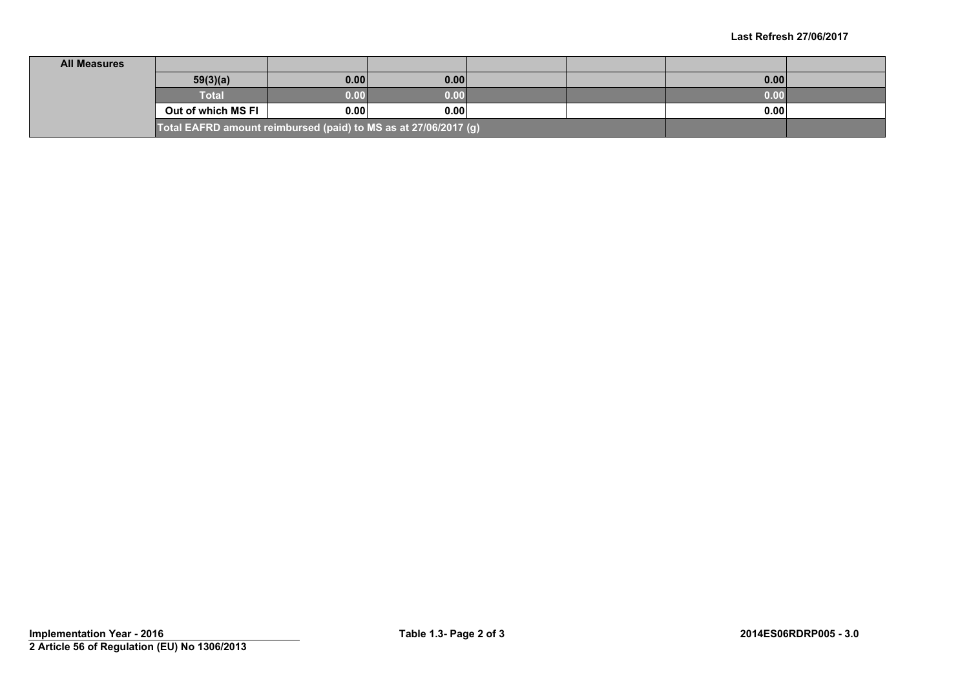| <b>All Measures</b> |                                                                 |      |      |  |      |  |
|---------------------|-----------------------------------------------------------------|------|------|--|------|--|
|                     | 59(3)(a)                                                        | 0.00 | 0.00 |  | 0.00 |  |
|                     | Total                                                           | 0.00 | 0.00 |  | 0.00 |  |
|                     | Out of which MS FI                                              | 0.00 | 0.00 |  | 0.00 |  |
|                     | Total EAFRD amount reimbursed (paid) to MS as at 27/06/2017 (g) |      |      |  |      |  |